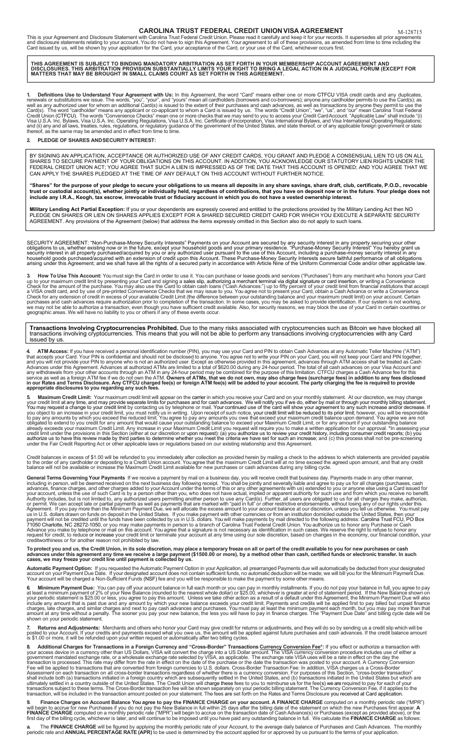**CAROLINA TRUST FEDERAL CREDIT UNION VISA AGREEMENT**<br>This is your Agreement and Disclosure Statement with Carolina Trust Federal Credit Union. Please read it carefully and keep it for your records. It supersedes all prior

THIS AGREEMENT IS SUBJECT TO BINDING MANDATORY ARBITRATION AS SET FORTH IN YOUR MEMBERSHIP ACCOUNT AGREEMENT AND<br>DISCLOSURES. THIS ARBITRATION PROVISION SUBSTANTIALLY LIMITS YOUR RIGHT TO BRING A LEGAL ACTION IN A JUDICIAL

**1. Definitions Use to Understand Your Agreement with Us:** In this Agreement, the word "Card" means either one or more CTFCU VISA credit cards and any duplicates,<br>renewals or substitutions we issue. The words, "you", and "

### **2. PLEDGE OF SHARES ANDSECURITY INTEREST:**

BY SIGNING AN APPLICATION, ACCEPTANCE OR AUTHORIZED USE OF ANY CREDIT CARDS, YOU GRANT AND PLEDGE A CONSENSUAL LIEN TO US ON ALL SHARES TO SECURE PAYMENT OF YOUR OBLIGATIONS ON THIS ACCOUNT. IN ADDITION, YOU ACKNOWLEDGE OUR STATUTORY LIEN RIGHTS UNDER THE FEDERAL CREDIT UNION ACT; YOU AGREE THAT SUCH A LIEN IS IMPRESSED AS OF THE DATE THAT THIS ACCOUNT IS OPENED; AND YOU AGREE THAT WE CAN APPLY THE SHARES PLEDGED AT THE TIME OF ANY DEFAULT ON THIS ACCOUNT WITHOUT FURTHER NOTICE.

**"Shares" for the purpose of your pledge to secure your obligations to us means all deposits in any share savings, share draft, club, certificate, P.O.D., revocable trust or custodial account(s), whether jointly or individually held, regardless of contributions, that you have on deposit now or in the future. Your pledge does not include any I.R.A., Keogh, tax escrow, irrevocable trust or fiduciary account in which you do not have a vested ownership interest.**

**Military Lending Act Partial Exception:** If you or your dependents are expressly covered and entitled to the protections provided by the Military Lending Act then NO<br>PLEDGE ON SHARES OR LIEN ON SHARES APPLIES EXCEPT FOR A AGREEMENT. Any provisions of the Agreement (below) that address the items expressly omitted in this Section also do not apply to such loans.

SECURITY AGREEMENT: "Non-Purchase-Money Security Interests" Payments on your Account are secured by any security interest in any property securing your other<br>obligations to us, whether existing now or in the future, except arising under this Agreement; and we shall have all the rights of a secured party in accordance with Article Nine of the Uniform Commercial Code and/or other applicable law.

3. How To Use This Account: You must sign the Card in order to use it. You can purchase or lease goods and services ("Purchases") from any merchant who honors your Card<br>up to your maximum credit limit by presenting your Ca

## **Transactions Involving Cryptocurrencies Prohibited.** Due to the many risks associated with cryptocurrencies such as Bitcoin we have blocked all<br>transactions involving cryptocurrencies. This means that you will not be able issued by us.

4. ATM Access: If you have received a personal identification number (PIN), you may use your Card and PIN to obtain Cash Advances at any Automatic Teller Machine ("ATM")<br>that accepts your Card. Your PIN is confidential and

5. Maximum Credit Limit: Your maximum credit limit will appear on the carrier in which you receive your Card and on your monthly statement. At our discretion, we may change your credit limit at any time at any through sepa

Credit balances in excess of \$1.00 will be refunded to you immediately after collection as provided herein by mailing a check to the address to which statements are provided payable<br>to the order of any cardholder or deposi

General Terms Governing Your Payments if we receive a payment by mail on a business day, you will receive credit that business made in any other manner, the seculation constant in the seculation of matching in person, will

# To protect you and us, the Credit Union, in its sole discretion, may place a temporary freeze on all or part of the credit available to you for new purchases or cash<br>advances under this agreement any time we receive a larg

**Automatic Payment Option:** If you requested the Automatic Payment Option in your Application, all prearranged Payments due will automatically be deducted from your designated<br>account on your Payment Due Date. If your desi

**6. Minimum Payment Due:** You can pay off your account balance in full each month or you can pay in monthly installments. If you do not pay your balance in full, you agree to pay<br>at least a minimum payment of 2% of your Ne

**7. Returns and Adjustments:** Merchants and others who honor your Card may give credit for returns or adjustments, and they will do so by sending us a credit slip which will be<br>posted to your Account. If your credits

**Additional Charges for Transactions in a Foreign Currency and "Cross-Border" Transactions <u>Currency Conversion Fee</u>\*: If you effect or authorize a transaction with<br>your access device in a currency other than US Dollars, V** 

9. Finance Charges on Account Balance You agree to pay the FINANCE CHARGE on your account. A FINANCE CHARGE computed on a monthly periodic rate ("MPR")<br>Will begin to accrue for new Purchases if you do not pay the New Balan

**a.** The **FINANCE CHARGE** will be figured by applying the monthly periodic rate of your Account, to the average daily balance of Purchases and Cash Advances. The monthly<br>periodic rate and **ANNUAL PERCENTAGE RATE (APR)** to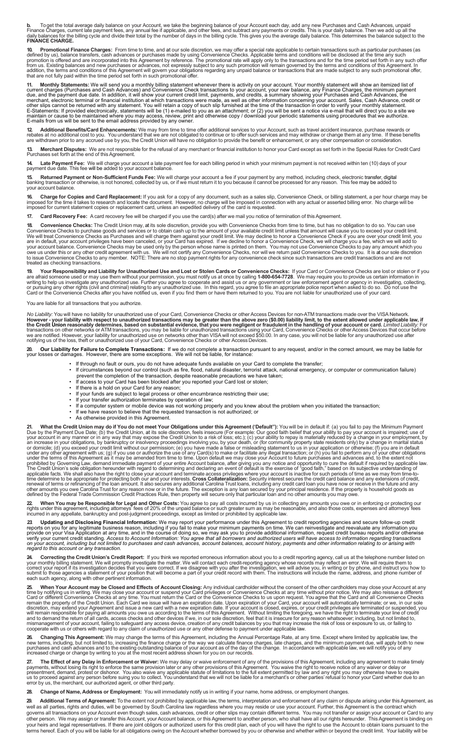**b.** To get the total average daily balance on your Account, we take the beginning balance of your Account each day, add any new Purchases and Cash Advances, unpaid<br>Finance Charges, current late payment fees, any annual fe

**10. Promotional Finance Charges:** From time to time, and at our sole discretion, we may offer a special rate applicable to certain transactions such as particular purchases (as<br>defined by us), balance transfers, cash adva

11. Monthly Statements: We will send you a monthly billing statement whenever there is activity on your account. Your monthly statement will show an itemized list of<br>current charges (Purchases and Cash Advances) and Conven

**12 Additional Benefits/Card Enhancements:** We may from time to time offer additional services to your Account, such as travel accident insurance, purchase rewards or<br>rebates at no additional cost to you. You understand t

**13. Merchant Disputes:** We are not responsible for the refusal of any merchant or financial institution to honor your Card except as set forth in the Special Rules for Credit Card<br>Purchases set forth at the end of this Ag

**14. Late Payment Fee:** We will charge your account a late payment fee for each billing period in which your minimum payment is not received within ten (10) days of your<br>payment due date. This fee will be added to your acc

**15. Returned Payment or Non-Sufficient Funds Fee:** We will charge your account a fee if your payment by any method, including check, electronic transfer, digital<br>banking transaction or otherwise, is not honored, collected

**16. Charge for Copies and Card Replacement:** If you ask for a copy of any document, such as a sales slip, Convenience Check, or billing statement, a per hour charge may be<br>imposed for the time it takes to research and loc

**17. Card Recovery Fee:** A card recovery fee will be charged if you use the card(s) after we mail you notice of termination of thisAgreement.

**18.** Convenience Checks: The Credit Union may, at its sole discretion, provide you with Convenience Checks from time to time, but has no obligation to do so. You can use Convenience Checks to purchase goods and services o treated as checking transactions.

19. Your Responsibility and Liability for Unauthorized Use and Lost or Stolen Cards or Convenience Checks: If your Card or Convenience Checks are lost or stolen or if you<br>are afraid someone used or may use them without you

You are liable for all transactions that you authorize.

No Liability: You will have no liability for unauthorized use of your Card, Convenience Checks or other Access Devices for non-ATM transactions made over the VISA Network.<br>However - your liability with respect to unauthori

**20. Our Liability for Failure to Complete Transactions:** If we do not complete a transaction pursuant to any request, and/or in the correct amount, we may be liable for<br>your losses or damages. However, there are some ex

• If through no fault or ours, you do not have adequate funds available on your Card to complete the transfer;

• If circumstances beyond our control (such as fire, flood, natural disaster, terrorist attack, national emergency, or computer or communication failure) prevent the completion of the transaction, despite reasonable precautions we have taken;

- If access to your Card has been blocked after you reported your Card lost or stolen;
- If there is a hold on your Card for any reason;
- If your funds are subject to legal process or other encumbrance restricting their use;
- If your transfer authorization terminates by operation of law;
- If a computer system or mobile device was not working properly and you knew about the problem when you initiated the transaction;
- If we have reason to believe that the requested transaction is not authorized; or
- As otherwise provided in this Agreement.

21. What the Credit Union may do if You do not meet Your Obligations under this Agreement ("Default"): You will be in default if: (a) you fails not meet your account in any manner or in any way that may expose the Credit U

**22 When You may be Responsible for Legal and Other Costs:** You agree to pay all costs incurred by us in collecting any amounts you owe or in enforcing or protecting our<br>rights under this agreement, including attorneys'

23. Updating and Disclosing Financial Information: We may report your performance under this Agreement to credit reporting agencies and secure follow-up credit<br>reports on you for any legitimate business reason, including i

24. Correcting the Credit Union's Credit Report: If you think we reported erroneous information about you to a credit reporting agency, call us at the telephone number listed on<br>your monthly billing statement. We will prom

**25. When Your Account may be Closed and Effects of Account Closing:** Any individual cardholder without the consent of the other cardholders may close your Account at any time by notifying us in writing. We may close your

**26. Changing This Agreement:** We may change the terms of this Agreement, including the Annual Percentage Rate, at any time. Except where limited by applicable law, the<br>new terms, including, but not limited to, increasing

**27. The Effect of any Delay in Enforcement or Waiver:** We may delay or waive enforcement of any of the provisions of this Agreement, including any agreement to make timely<br>payments, without losing its right to enforce th us to proceed against any person before suing you to collect. You understand that we will not be liable for a merchant's or other parties' refusal to honor your Card whether due to an<br>error by us, the merchant, our authori

**28. Change of Name, Address or Employment:** You will immediately notify us in writing if your name, home address, or employment changes.

**29. Additional Terms of Agreement:** To the extent not prohibited by applicable law, the terms, interpretation and enforcement of any claim or dispute arising under this Agreement, as well as all parties, rights and duties, will be governed by South Carolina law regardless where you may reside or use your account. Further, this Agreement is the contract which governs all transactions on yourAccount even though sales, cash advances, credit or other slips may contain different terms. You may not transfer or assign your account or Card to any other person. We may assign or transfer this Account, your Account balance, or this Agreement to another person, who shall have all our rights hereunder. This Agreement is binding on your heirs and legal representatives. If there are joint obligors or authorized users for this credit plan, each of you will have the right to use the Account to obtain loans pursuant to the terms hereof. Each of you will be liable for all obligations owing on the Account whether borrowed by you or otherwise and whether within or beyond the credit limit. Your liability will be